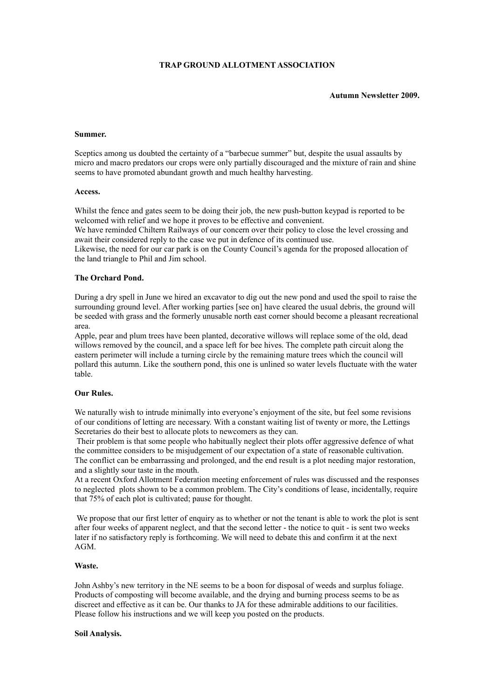# **TRAP GROUND ALLOTMENT ASSOCIATION**

**Autumn Newsletter 2009.**

#### **Summer.**

Sceptics among us doubted the certainty of a "barbecue summer" but, despite the usual assaults by micro and macro predators our crops were only partially discouraged and the mixture of rain and shine seems to have promoted abundant growth and much healthy harvesting.

### **Access.**

Whilst the fence and gates seem to be doing their job, the new push-button keypad is reported to be welcomed with relief and we hope it proves to be effective and convenient.

We have reminded Chiltern Railways of our concern over their policy to close the level crossing and await their considered reply to the case we put in defence of its continued use.

Likewise, the need for our car park is on the County Council's agenda for the proposed allocation of the land triangle to Phil and Jim school.

## **The Orchard Pond.**

During a dry spell in June we hired an excavator to dig out the new pond and used the spoil to raise the surrounding ground level. After working parties [see on] have cleared the usual debris, the ground will be seeded with grass and the formerly unusable north east corner should become a pleasant recreational area.

Apple, pear and plum trees have been planted, decorative willows will replace some of the old, dead willows removed by the council, and a space left for bee hives. The complete path circuit along the eastern perimeter will include a turning circle by the remaining mature trees which the council will pollard this autumn. Like the southern pond, this one is unlined so water levels fluctuate with the water table.

## **Our Rules.**

We naturally wish to intrude minimally into everyone's enjoyment of the site, but feel some revisions of our conditions of letting are necessary. With a constant waiting list of twenty or more, the Lettings Secretaries do their best to allocate plots to newcomers as they can.

 Their problem is that some people who habitually neglect their plots offer aggressive defence of what the committee considers to be misjudgement of our expectation of a state of reasonable cultivation. The conflict can be embarrassing and prolonged, and the end result is a plot needing major restoration, and a slightly sour taste in the mouth.

At a recent Oxford Allotment Federation meeting enforcement of rules was discussed and the responses to neglected plots shown to be a common problem. The City's conditions of lease, incidentally, require that 75% of each plot is cultivated; pause for thought.

We propose that our first letter of enquiry as to whether or not the tenant is able to work the plot is sent after four weeks of apparent neglect, and that the second letter - the notice to quit - is sent two weeks later if no satisfactory reply is forthcoming. We will need to debate this and confirm it at the next AGM.

### **Waste.**

John Ashby's new territory in the NE seems to be a boon for disposal of weeds and surplus foliage. Products of composting will become available, and the drying and burning process seems to be as discreet and effective as it can be. Our thanks to JA for these admirable additions to our facilities. Please follow his instructions and we will keep you posted on the products.

### **Soil Analysis.**